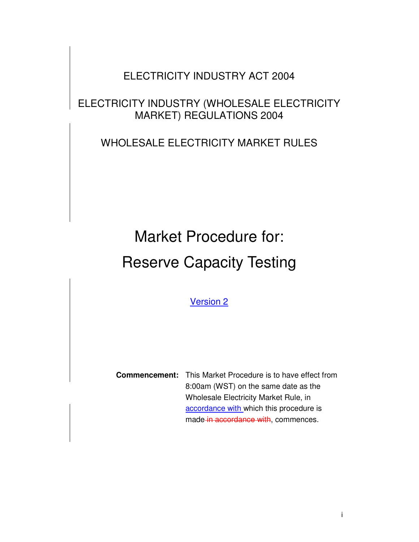## ELECTRICITY INDUSTRY ACT 2004

# ELECTRICITY INDUSTRY (WHOLESALE ELECTRICITY MARKET) REGULATIONS 2004

# WHOLESALE ELECTRICITY MARKET RULES

# Market Procedure for: Reserve Capacity Testing

Version 2

**Commencement:** This Market Procedure is to have effect from 8:00am (WST) on the same date as the Wholesale Electricity Market Rule, in accordance with which this procedure is made in accordance with, commences.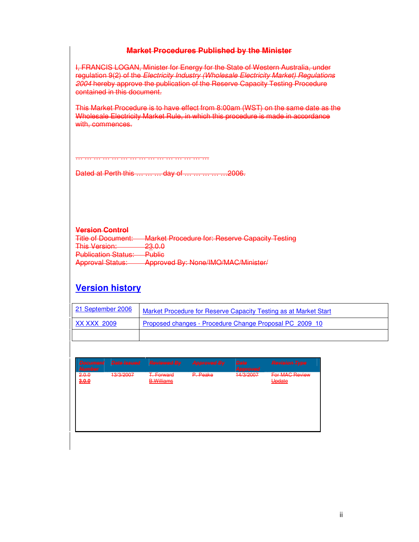#### **Market Procedures Published by the Minister**

I, FRANCIS LOGAN, Minister for Energy for the State of Western Australia, under regulation 9(2) of the Electricity Industry (Wholesale Electricity Market) Regulations 2004 hereby approve the publication of the Reserve Capacity Testing Procedure contained in this document.

This Market Procedure is to have effect from 8:00am (WST) on the same date as the Wholesale Electricity Market Rule, in which this procedure is made in accordance with, commences.

Dated at Perth this … … … day of … … … … …2006.

… … … … … … … … … … … … … … …

#### **Version Control**

| <b>Title of Document:</b>                                     | <b>Market Procedure for: Reserve Capacity Testing</b>                                            |
|---------------------------------------------------------------|--------------------------------------------------------------------------------------------------|
| <b>This Version:</b>                                          | ח ח פפ<br><del>∠∪.∪.∪</del>                                                                      |
| <b>Publication Statue:</b><br><del>r uplication olatus.</del> | <b>Dublic</b><br><del>i upilo</del>                                                              |
| <b>Approval Status:</b>                                       | $\Delta$ nnroved Ry: None/IMO/MAC/Minister/<br><del>npproved by: renew HWC/MMO/IVIII 1861/</del> |

## **Version history**

| 21 September 2006 | Market Procedure for Reserve Capacity Testing as at Market Start |
|-------------------|------------------------------------------------------------------|
| XX XXX 2009       | Proposed changes - Procedure Change Proposal PC 2009 10          |
|                   |                                                                  |

| <b>Decument</b><br><b>Number</b> | <b>Date Issued</b> | <b>Reviewed By</b>              | <b>Approved By</b> | <b>Date</b><br>Approved | <b>Revision Type</b>     |
|----------------------------------|--------------------|---------------------------------|--------------------|-------------------------|--------------------------|
| 2.0.0<br>3.0.0                   | 13/3/2007          | T. Forward<br><b>B.Williams</b> | P. Peake           | 14/3/2007               | For MAC Review<br>Update |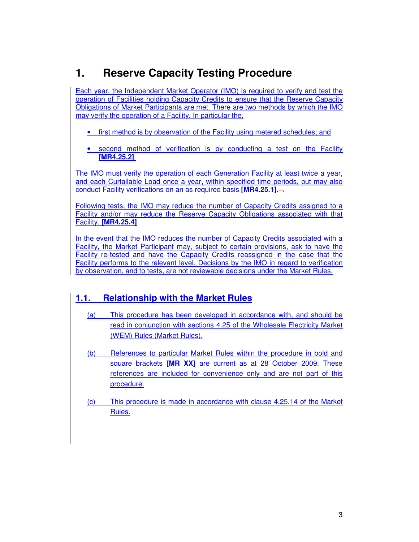# **1. Reserve Capacity Testing Procedure**

Each year, the Independent Market Operator (IMO) is required to verify and test the operation of Facilities holding Capacity Credits to ensure that the Reserve Capacity Obligations of Market Participants are met. There are two methods by which the IMO may verify the operation of a Facility. In particular the,

- first method is by observation of the Facility using metered schedules; and
- second method of verification is by conducting a test on the Facility **[MR4.25.2]**.

The IMO must verify the operation of each Generation Facility at least twice a year, and each Curtailable Load once a year, within specified time periods, but may also conduct Facility verifications on an as required basis **[MR4.25.1]**.

Following tests, the IMO may reduce the number of Capacity Credits assigned to a Facility and/or may reduce the Reserve Capacity Obligations associated with that Facility. **[MR4.25.4]**

In the event that the IMO reduces the number of Capacity Credits associated with a Facility, the Market Participant may, subject to certain provisions, ask to have the Facility re-tested and have the Capacity Credits reassigned in the case that the Facility performs to the relevant level. Decisions by the IMO in regard to verification by observation, and to tests, are not reviewable decisions under the Market Rules.

## **1.1. Relationship with the Market Rules**

- (a) This procedure has been developed in accordance with, and should be read in conjunction with sections 4.25 of the Wholesale Electricity Market (WEM) Rules (Market Rules).
- (b) References to particular Market Rules within the procedure in bold and square brackets **[MR XX]** are current as at 28 October 2009. These references are included for convenience only and are not part of this procedure.
- (c) This procedure is made in accordance with clause 4.25.14 of the Market Rules.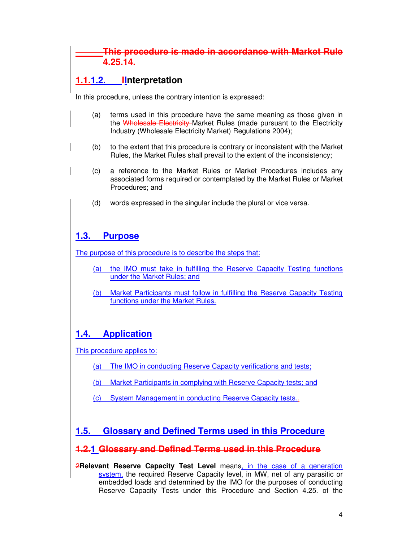## **This procedure is made in accordance with Market Rule 4.25.14.**

## **1.1.1.2. IInterpretation**

In this procedure, unless the contrary intention is expressed:

- (a) terms used in this procedure have the same meaning as those given in the Wholesale Electricity Market Rules (made pursuant to the Electricity Industry (Wholesale Electricity Market) Regulations 2004);
- (b) to the extent that this procedure is contrary or inconsistent with the Market Rules, the Market Rules shall prevail to the extent of the inconsistency;
- (c) a reference to the Market Rules or Market Procedures includes any associated forms required or contemplated by the Market Rules or Market Procedures; and
- (d) words expressed in the singular include the plural or vice versa.

## **1.3. Purpose**

The purpose of this procedure is to describe the steps that:

- (a) the IMO must take in fulfilling the Reserve Capacity Testing functions under the Market Rules; and
- (b) Market Participants must follow in fulfilling the Reserve Capacity Testing functions under the Market Rules.

## **1.4. Application**

This procedure applies to:

- (a) The IMO in conducting Reserve Capacity verifications and tests;
- (b) Market Participants in complying with Reserve Capacity tests; and
- (c) System Management in conducting Reserve Capacity tests..

## **1.5. Glossary and Defined Terms used in this Procedure**

#### **1.2.1 Glossary and Defined Terms used in this Procedure**

2**Relevant Reserve Capacity Test Level** means, in the case of a generation system, the required Reserve Capacity level, in MW, net of any parasitic or embedded loads and determined by the IMO for the purposes of conducting Reserve Capacity Tests under this Procedure and Section 4.25. of the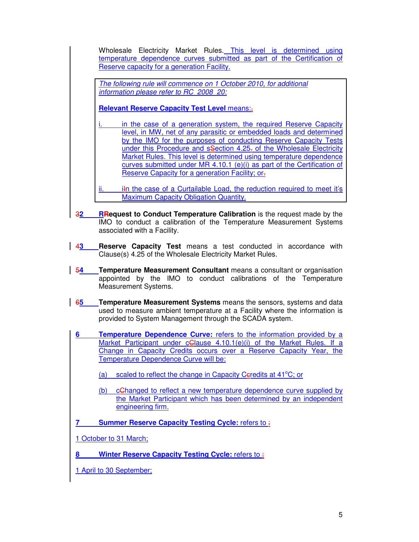Wholesale Electricity Market Rules. This level is determined using temperature dependence curves submitted as part of the Certification of Reserve capacity for a generation Facility.

The following rule will commence on 1 October 2010, for additional information please refer to RC\_2008\_20:

**Relevant Reserve Capacity Test Level** means:,

- in the case of a generation system, the required Reserve Capacity level, in MW, net of any parasitic or embedded loads and determined by the IMO for the purposes of conducting Reserve Capacity Tests under this Procedure and sSection 4.25- of the Wholesale Electricity Market Rules. This level is determined using temperature dependence curves submitted under MR 4.10.1 (e)(i) as part of the Certification of Reserve Capacity for a generation Facility; or.
- ii. iIn the case of a Curtailable Load, the reduction required to meet it's Maximum Capacity Obligation Quantity.
- **32 RRequest to Conduct Temperature Calibration** is the request made by the IMO to conduct a calibration of the Temperature Measurement Systems associated with a Facility.
- 4**3 Reserve Capacity Test** means a test conducted in accordance with Clause(s) 4.25 of the Wholesale Electricity Market Rules.
- 5**4 Temperature Measurement Consultant** means a consultant or organisation appointed by the IMO to conduct calibrations of the Temperature Measurement Systems.
- 6**5 Temperature Measurement Systems** means the sensors, systems and data used to measure ambient temperature at a Facility where the information is provided to System Management through the SCADA system.
- **6 Temperature Dependence Curve:** refers to the information provided by a Market Participant under cGlause 4.10.1(e)(i) of the Market Rules. If a Change in Capacity Credits occurs over a Reserve Capacity Year, the Temperature Dependence Curve will be:
	- (a) scaled to reflect the change in Capacity Ceredits at  $41^{\circ}$ C; or
	- (b) cChanged to reflect a new temperature dependence curve supplied by the Market Participant which has been determined by an independent engineering firm.
- **7** Summer Reserve Capacity Testing Cycle: refers to :
- 1 October to 31 March;
- **Winter Reserve Capacity Testing Cycle: refers to :**
- 1 April to 30 September;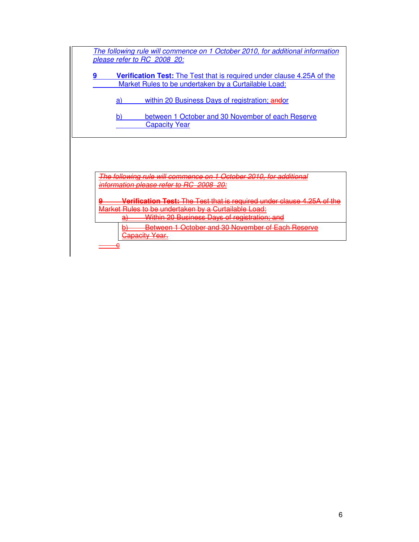| The following rule will commence on 1 October 2010, for additional information     |
|------------------------------------------------------------------------------------|
| please refer to RC 2008 20:                                                        |
|                                                                                    |
| <b>Verification Test:</b> The Test that is required under clause 4.25A of the<br>9 |
| Market Rules to be undertaken by a Curtailable Load:                               |
| within 20 Business Days of registration; andor<br>a                                |
| between 1 October and 30 November of each Reserve<br>h                             |
| <b>Capacity Year</b>                                                               |
|                                                                                    |
|                                                                                    |
|                                                                                    |
|                                                                                    |
| on 1 October 2010, for addition<br>The following rule will commence                |
| formation please refer to                                                          |
| <del>Verification Test: The Test that is required under clause 4.25A</del>         |
| <del>ket Rules to be undertaken by a Curtailable Load:</del>                       |
| <u>Within 20 Business Days of registration; and</u><br>đ٦                          |
| Between 1 October and 30 November of Each Reserve<br><u>apacity Year.</u>          |
|                                                                                    |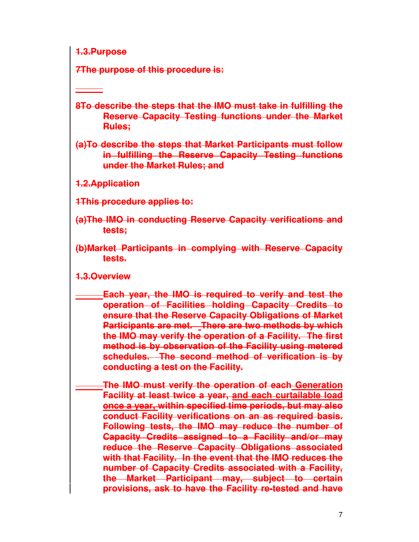**1.3.Purpose**

**7The purpose of this procedure is:**

**8To describe the steps that the IMO must take in fulfilling the Reserve Capacity Testing functions under the Market Rules;** 

**(a)To describe the steps that Market Participants must follow in fulfilling the Reserve Capacity Testing functions under the Market Rules; and** 

**1.2.Application**

**1This procedure applies to:**

- **(a)The IMO in conducting Reserve Capacity verifications and tests;**
- **(b)Market Participants in complying with Reserve Capacity tests.**

## **1.3.Overview**

**Each year, the IMO is required to verify and test the operation of Facilities holding Capacity Credits to ensure that the Reserve Capacity Obligations of Market Participants are met. There are two methods by which the IMO may verify the operation of a Facility. The first method is by observation of the Facility using metered schedules. The second method of verification is by conducting a test on the Facility.** 

**The IMO must verify the operation of each Generation Facility at least twice a year, and each curtailable load once a year, within specified time periods, but may also conduct Facility verifications on an as required basis. Following tests, the IMO may reduce the number of Capacity Credits assigned to a Facility and/or may reduce the Reserve Capacity Obligations associated with that Facility. In the event that the IMO reduces the number of Capacity Credits associated with a Facility, the Market Participant may, subject to certain provisions, ask to have the Facility re-tested and have**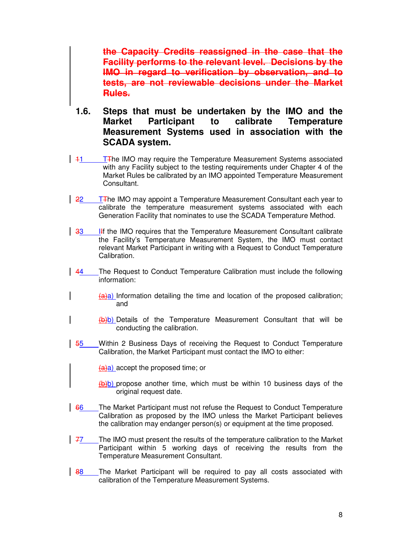**the Capacity Credits reassigned in the case that the Facility performs to the relevant level. Decisions by the IMO in regard to verification by observation, and to tests, are not reviewable decisions under the Market Rules.** 

- **1.6. Steps that must be undertaken by the IMO and the Market Participant to calibrate Temperature Measurement Systems used in association with the SCADA system.**
- $\frac{11}{11}$  T<sub>T</sub> IMO may require the Temperature Measurement Systems associated with any Facility subject to the testing requirements under Chapter 4 of the Market Rules be calibrated by an IMO appointed Temperature Measurement Consultant.
- $\frac{22}{11}$  T<sub>T</sub> in IMO may appoint a Temperature Measurement Consultant each year to calibrate the temperature measurement systems associated with each Generation Facility that nominates to use the SCADA Temperature Method.
- 33 IIf the IMO requires that the Temperature Measurement Consultant calibrate the Facility's Temperature Measurement System, the IMO must contact relevant Market Participant in writing with a Request to Conduct Temperature Calibration.
- 44 The Request to Conduct Temperature Calibration must include the following information:
	- $(a)$ a) Information detailing the time and location of the proposed calibration; and
		- (b)b) Details of the Temperature Measurement Consultant that will be conducting the calibration.
- 55 Within 2 Business Days of receiving the Request to Conduct Temperature Calibration, the Market Participant must contact the IMO to either:

 $(a)$ a) accept the proposed time; or

(b)b) propose another time, which must be within 10 business days of the original request date.

- 66 The Market Participant must not refuse the Request to Conduct Temperature Calibration as proposed by the IMO unless the Market Participant believes the calibration may endanger person(s) or equipment at the time proposed.
- $\frac{77}{7}$  The IMO must present the results of the temperature calibration to the Market Participant within 5 working days of receiving the results from the Temperature Measurement Consultant.
- 88 The Market Participant will be required to pay all costs associated with calibration of the Temperature Measurement Systems.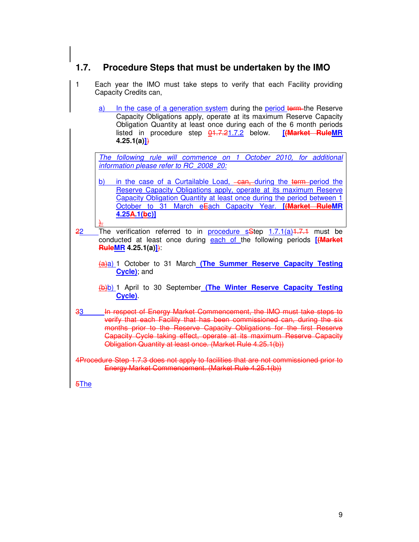# $\mathbf{r}$ **1.7. Procedure Steps that must be undertaken by the IMO**

| $\mathbf{1}$<br>Each year the IMO must take steps to verify that each Facility providing<br>Capacity Credits can,                                                                                                                                                                                                                                                                           |
|---------------------------------------------------------------------------------------------------------------------------------------------------------------------------------------------------------------------------------------------------------------------------------------------------------------------------------------------------------------------------------------------|
| a) In the case of a generation system during the period term the Reserve<br>Capacity Obligations apply, operate at its maximum Reserve Capacity<br>Obligation Quantity at least once during each of the 6 month periods<br>listed in procedure step 01.7.21.7.2 below. [(Market RuleMR<br>$4.25.1(a)$ }                                                                                     |
| The following rule will commence on 1 October 2010, for additional<br>information please refer to RC 2008 20:                                                                                                                                                                                                                                                                               |
| in the case of a Curtailable Load, ean, during the term-period the<br><u>b)</u><br>Reserve Capacity Obligations apply, operate at its maximum Reserve<br>Capacity Obligation Quantity at least once during the period between 1<br>October to 31 March eEach Capacity Year. [(Market RuleMR<br>4.25A.1(bc)]                                                                                 |
| The verification referred to in procedure sStep 1.7.1(a) 1.7.1 must be<br>22<br>conducted at least once during each of the following periods [{Market<br><b>RuleMR</b> 4.25.1(a) $\left  \right $                                                                                                                                                                                           |
| (a)a) 1 October to 31 March (The Summer Reserve Capacity Testing<br>Cycle); and                                                                                                                                                                                                                                                                                                             |
| (b)b) 1 April to 30 September (The Winter Reserve Capacity Testing<br>Cycle)                                                                                                                                                                                                                                                                                                                |
| In respect of Energy Market Commencement, the IMO must take steps to<br>33 <sub>o</sub><br>verify that each Facility that has been commissioned can, during the six<br>months prior to the Reserve Capacity Obligations for the first Reserve<br><b>Capacity Cycle taking effect, operate at its maximum Reserve Capacity</b><br>Obligation Quantity at least once. (Market Rule 4.25.1(b)) |
| 4Procedure Step 1.7.3 does not apply to facilities that are not commissioned prior to<br>Energy Market Commencement. (Market Rule 4.25.1(b))                                                                                                                                                                                                                                                |
| $5$ The                                                                                                                                                                                                                                                                                                                                                                                     |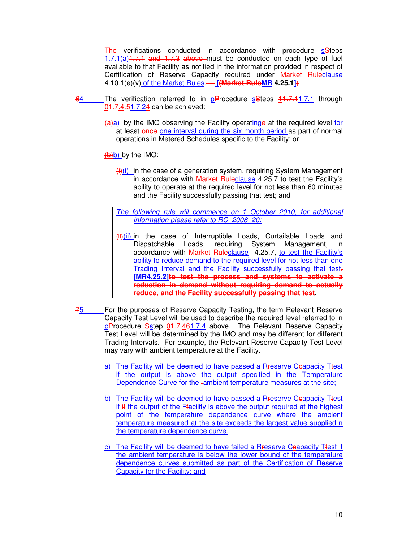The verifications conducted in accordance with procedure sSteps  $1.7.1(a)$ <sup>1.7.1</sup> and 1.7.3 above must be conducted on each type of fuel available to that Facility as notified in the information provided in respect of Certification of Reserve Capacity required under Market Ruleclause 4.10.1(e)(v) of the Market Rules. **[(Market RuleMR 4.25.1]**)

- 64 The verification referred to in pProcedure sSteps 11.7.11.7.1 through 01.7.4.51.7.24 can be achieved:
	- $(a)$ a) -by the IMO observing the Facility operating at the required level for at least once one interval during the six month period as part of normal operations in Metered Schedules specific to the Facility; or

 $(b)$  by the IMO:

 $\frac{f(x)}{g(x)}$  in the case of a generation system, requiring System Management in accordance with Market Ruleclause 4.25.7 to test the Facility's ability to operate at the required level for not less than 60 minutes and the Facility successfully passing that test; and

The following rule will commence on 1 October 2010, for additional information please refer to RC\_2008\_20:

- $\frac{\pi i}{\pi i}$  ii) in the case of Interruptible Loads, Curtailable Loads and Dispatchable Loads, requiring System Management, in accordance with Market Ruleclause- 4.25.7, to test the Facility's ability to reduce demand to the required level for not less than one Trading Interval and the Facility successfully passing that test. **[MR4.25.2]to test the process and systems to activate a reduction in demand without requiring demand to actually reduce, and the Facility successfully passing that test.**
- 75 For the purposes of Reserve Capacity Testing, the term Relevant Reserve Capacity Test Level will be used to describe the required level referred to in pProcedure Sstep 01.7.461.7.4 above. The Relevant Reserve Capacity Test Level will be determined by the IMO and may be different for different Trading Intervals. - For example, the Relevant Reserve Capacity Test Level may vary with ambient temperature at the Facility.
	- a) The Facility will be deemed to have passed a Rreserve Ceapacity Ttest if the output is above the output specified in the Temperature Dependence Curve for the -ambient temperature measures at the site;
	- b) The Facility will be deemed to have passed a Rreserve Ceapacity Ttest if if the output of the Ffacility is above the output required at the highest point of the temperature dependence curve where the ambient temperature measured at the site exceeds the largest value supplied n the temperature dependence curve.
	- c) The Facility will be deemed to have failed a Rreserve Ceapacity Ttest if the ambient temperature is below the lower bound of the temperature dependence curves submitted as part of the Certification of Reserve Capacity for the Facility; and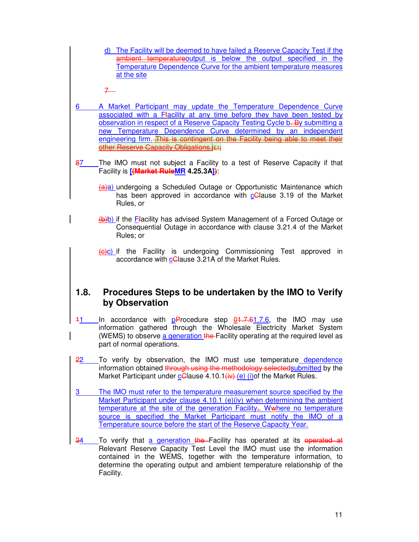d) The Facility will be deemed to have failed a Reserve Capacity Test if the ambient temperatureoutput is below the output specified in the Temperature Dependence Curve for the ambient temperature measures at the site

7

- 6 A Market Participant may update the Temperature Dependence Curve associated with a Ffacility at any time before they have been tested by observation in respect of a Reserve Capacity Testing Cycle b. By submitting a new Temperature Dependence Curve determined by an independent engineering firm. This is contingent on the Facility being able to meet their **other Reserve Capacity Obligations.**[E1]
- 87 The IMO must not subject a Facility to a test of Reserve Capacity if that Facility is **[(Market RuleMR 4.25.3A])**:
	- (a)a) undergoing a Scheduled Outage or Opportunistic Maintenance which has been approved in accordance with c**C**lause 3.19 of the Market Rules, or
	- (b)b) if the Ffacility has advised System Management of a Forced Outage or Consequential Outage in accordance with clause 3.21.4 of the Market Rules; or
	- (c)c) if the Facility is undergoing Commissioning Test approved in accordance with c**C**lause 3.21A of the Market Rules.

## **1.8. Procedures Steps to be undertaken by the IMO to Verify by Observation**

- $11$  In accordance with pProcedure step  $0.7-0.6$ , the IMO may use information gathered through the Wholesale Electricity Market System (WEMS) to observe a generation the Facility operating at the required level as part of normal operations.
- 22 To verify by observation, the IMO must use temperature dependence information obtained through using the methodology selected submitted by the Market Participant under  $cG$ lause 4.10.1 $(iv)$  $(c)$  (i) of the Market Rules.
- 3 The IMO must refer to the temperature measurement source specified by the Market Participant under clause 4.10.1 (e)(iv) when determining the ambient temperature at the site of the generation Facility. Wwhere no temperature source is specified the Market Participant must notify the IMO of a Temperature source before the start of the Reserve Capacity Year.
- 34 To verify that a generation the Facility has operated at its operated at Relevant Reserve Capacity Test Level the IMO must use the information contained in the WEMS, together with the temperature information, to determine the operating output and ambient temperature relationship of the Facility.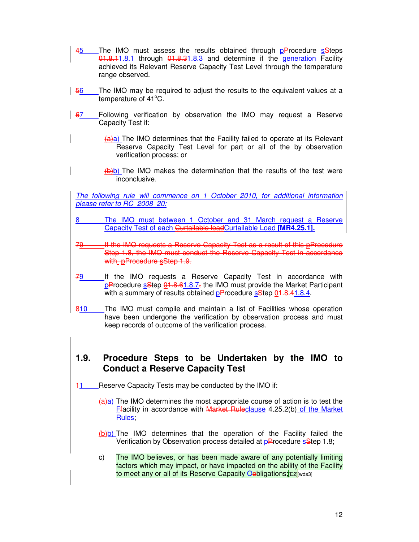- 45 The IMO must assess the results obtained through pProcedure sSteps  $Q1.8.11.8.1$  through  $Q1.8.31.8.3$  and determine if the generation Facility achieved its Relevant Reserve Capacity Test Level through the temperature range observed.
- 56 The IMO may be required to adjust the results to the equivalent values at a temperature of  $41^{\circ}$ C.
- 67 Following verification by observation the IMO may request a Reserve Capacity Test if:
	- $(a)$ a) The IMO determines that the Facility failed to operate at its Relevant Reserve Capacity Test Level for part or all of the by observation verification process; or
	- $\left(\frac{1}{b}\right)$  The IMO makes the determination that the results of the test were inconclusive.

The following rule will commence on 1 October 2010, for additional information please refer to RC\_2008\_20:

- 8 The IMO must between 1 October and 31 March request a Reserve Capacity Test of each Curtailable loadCurtailable Load **[MR4.25.1].**
- If the IMO requests a Reserve Capacity Test as a result of this pProcedure Step 1.8, the IMO must conduct the Reserve Capacity Test in accordance with **pProcedure** sStep 1.9.
- 79 If the IMO requests a Reserve Capacity Test in accordance with  $pP$ rocedure s $Step$   $01.8.61.8.7$ , the IMO must provide the Market Participant with a summary of results obtained  $p\text{P}$ rocedure  $s\text{Step } 0.18.41.8.41$ .
- 810 The IMO must compile and maintain a list of Facilities whose operation have been undergone the verification by observation process and must keep records of outcome of the verification process.

## **1.9. Procedure Steps to be Undertaken by the IMO to Conduct a Reserve Capacity Test**

- 11 Reserve Capacity Tests may be conducted by the IMO if:
	- $(a)$ a) The IMO determines the most appropriate course of action is to test the Ffacility in accordance with Market Ruleclause 4.25.2(b) of the Market Rules;
	- (b)b) The IMO determines that the operation of the Facility failed the Verification by Observation process detailed at pProcedure sStep 1.8;
	- c) The IMO believes, or has been made aware of any potentially limiting factors which may impact, or have impacted on the ability of the Facility to meet any or all of its Reserve Capacity Oebligations; E2| wds3]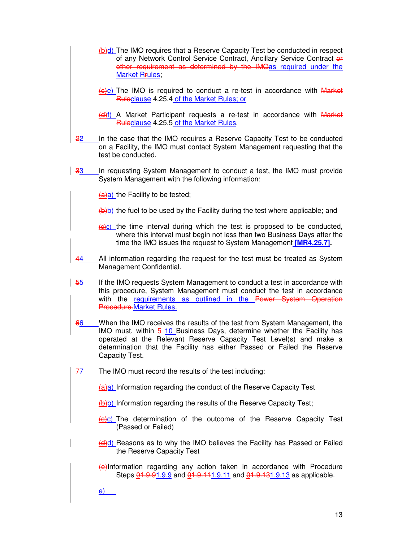- $\frac{f(b)}{c}$  The IMO requires that a Reserve Capacity Test be conducted in respect of any Network Control Service Contract, Ancillary Service Contract or other requirement as determined by the IMOas required under the Market Rrules;
- $(e)e$ ) The IMO is required to conduct a re-test in accordance with Market Ruleclause 4.25.4 of the Market Rules; or
- (d)f) A Market Participant requests a re-test in accordance with Market Ruleclause 4.25.5 of the Market Rules.
- 22 In the case that the IMO requires a Reserve Capacity Test to be conducted on a Facility, the IMO must contact System Management requesting that the test be conducted.
- 33 In requesting System Management to conduct a test, the IMO must provide System Management with the following information:

 $(a)$ a) the Facility to be tested;

 $(b)$  the fuel to be used by the Facility during the test where applicable; and

- $\left(\frac{1}{\left(\text{e}\right)c}\right)$  the time interval during which the test is proposed to be conducted, where this interval must begin not less than two Business Days after the time the IMO issues the request to System Management **[MR4.25.7].**
- 44 All information regarding the request for the test must be treated as System Management Confidential.
- 55 If the IMO requests System Management to conduct a test in accordance with this procedure, System Management must conduct the test in accordance with the requirements as outlined in the Power System Operation Procedure.Market Rules.
- 66 When the IMO receives the results of the test from System Management, the IMO must, within  $\frac{5-10}{2}$  Business Days, determine whether the Facility has operated at the Relevant Reserve Capacity Test Level(s) and make a determination that the Facility has either Passed or Failed the Reserve Capacity Test.
- 77 The IMO must record the results of the test including:

(a)a) Information regarding the conduct of the Reserve Capacity Test

(b)b) Information regarding the results of the Reserve Capacity Test;

- $\left\langle \Theta \right\rangle$  The determination of the outcome of the Reserve Capacity Test (Passed or Failed)
- (d)d) Reasons as to why the IMO believes the Facility has Passed or Failed the Reserve Capacity Test
- (e)Information regarding any action taken in accordance with Procedure Steps  $01.9.91.9.9$  and  $01.9.111.9.11$  and  $01.9.131.9.13$  as applicable.

e)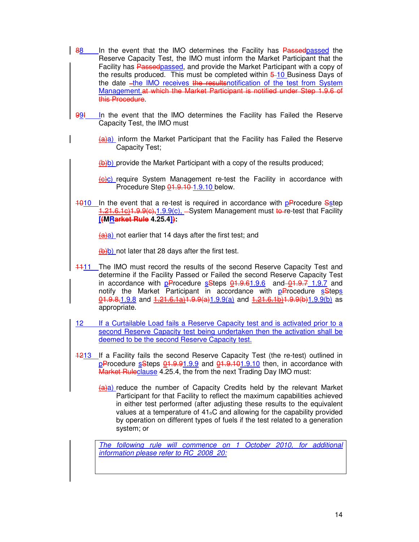- 88 In the event that the IMO determines the Facility has Passed passed the Reserve Capacity Test, the IMO must inform the Market Participant that the Facility has Passedpassed, and provide the Market Participant with a copy of the results produced. This must be completed within  $5-10$  Business Days of the date -the IMO receives the resultsnotification of the test from System Management.at which the Market Participant is notified under Step 1.9.6 of this Procedure.
- 99I In the event that the IMO determines the Facility has Failed the Reserve Capacity Test, the IMO must
	- $(a)$ a) inform the Market Participant that the Facility has Failed the Reserve Capacity Test;
	- $(b)$  provide the Market Participant with a copy of the results produced;
	- $\left( \frac{f}{f} \right)$  require System Management re-test the Facility in accordance with Procedure Step  $\frac{0.11}{0.911}$  9.10 below.
- $1010$  In the event that a re-test is required in accordance with  $p$ Procedure Sstep 1.21.6.1c)1.9.9(c), 1.9.9(c), -System Management must to-re-test that Facility **[(MRarket Rule 4.25.4]):**

 $(a)$ a) not earlier that 14 days after the first test; and

 $(b)$  not later that 28 days after the first test.

- 111 The IMO must record the results of the second Reserve Capacity Test and determine if the Facility Passed or Failed the second Reserve Capacity Test in accordance with pProcedure sSteps 01.9.61.9.6 and 01.9.7 1.9.7 and notify the Market Participant in accordance with pProcedure sSteps  $01.9.8, 1.9.8$  and  $1.21.6.1a$ ) $1.9.9(a)$ 1.9.9(a) and  $1.21.6.1b$ ) $1.9.9(b)$ 1.9.9(b) as appropriate.
- 12 If a Curtailable Load fails a Reserve Capacity test and is activated prior to a second Reserve Capacity test being undertaken then the activation shall be deemed to be the second Reserve Capacity test.
- 1213 If a Facility fails the second Reserve Capacity Test (the re-test) outlined in  $p$ Procedure  $s$ Steps  $Q$ 1.9.91.9.9 and  $Q$ 1.9.101.9.10 then, in accordance with Market Ruleclause 4.25.4, the from the next Trading Day IMO must:
	- $(a)$ a) reduce the number of Capacity Credits held by the relevant Market Participant for that Facility to reflect the maximum capabilities achieved in either test performed (after adjusting these results to the equivalent values at a temperature of  $41<sub>o</sub>C$  and allowing for the capability provided by operation on different types of fuels if the test related to a generation system; or

The following rule will commence on 1 October 2010, for additional information please refer to RC\_2008\_20: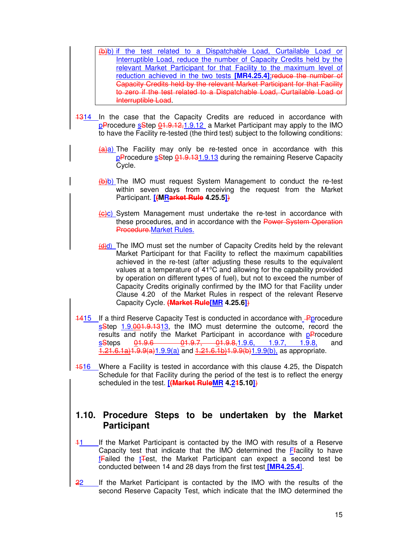(b)b) if the test related to a Dispatchable Load, Curtailable Load or Interruptible Load, reduce the number of Capacity Credits held by the relevant Market Participant for that Facility to the maximum level of reduction achieved in the two tests **[MR4.25.4]**;reduce the number of Capacity Credits held by the relevant Market Participant for that Facility to zero if the test related to a Dispatchable Load. Curtailable Load Interruptible Load.

- 1314 In the case that the Capacity Credits are reduced in accordance with pProcedure sStep 01.9.12,1.9.12 a Market Participant may apply to the IMO to have the Facility re-tested (the third test) subject to the following conditions:
	- $(a)$ a) The Facility may only be re-tested once in accordance with this pProcedure sStep 01.9.131.9.13 during the remaining Reserve Capacity Cycle.
	- (b)b) The IMO must request System Management to conduct the re-test within seven days from receiving the request from the Market Participant. **[(MRarket Rule 4.25.5]**)
	- (c)c) System Management must undertake the re-test in accordance with these procedures, and in accordance with the Power System Operation Procedure.Market Rules.
	- $(d)$ d) The IMO must set the number of Capacity Credits held by the relevant Market Participant for that Facility to reflect the maximum capabilities achieved in the re-test (after adjusting these results to the equivalent values at a temperature of  $41^{\circ}$ C and allowing for the capability provided by operation on different types of fuel), but not to exceed the number of Capacity Credits originally confirmed by the IMO for that Facility under Clause 4.20 of the Market Rules in respect of the relevant Reserve Capacity Cycle. **(Market Rule[MR 4.25.6]**)
- 1415 If a third Reserve Capacity Test is conducted in accordance with **P**procedure sStep 1.9.001.9.1313, the IMO must determine the outcome, record the results and notify the Market Participant in accordance with pProcedure sSteps  $\underline{01.9.6}$   $\underline{01.9.7}$ ,  $\underline{01.9.8, 1.9.6}$ , 1.9.7, 1.9.8, and  $21.6.1a)1.9.9(a)1.9.9(a)$  and  $1.21.6.1b)1.9.9(b)1.9.9(b)$ , as appropriate.
- 1516 Where a Facility is tested in accordance with this clause 4.25, the Dispatch Schedule for that Facility during the period of the test is to reflect the energy scheduled in the test. **[(Market RuleMR 4.215.10]**)

#### **1.10. Procedure Steps to be undertaken by the Market Participant**

- 11 If the Market Participant is contacted by the IMO with results of a Reserve Capacity test that indicate that the IMO determined the Ffacility to have **fFailed the tTest, the Market Participant can expect a second test be** conducted between 14 and 28 days from the first test **[MR4.25.4**].
- 22 If the Market Participant is contacted by the IMO with the results of the second Reserve Capacity Test, which indicate that the IMO determined the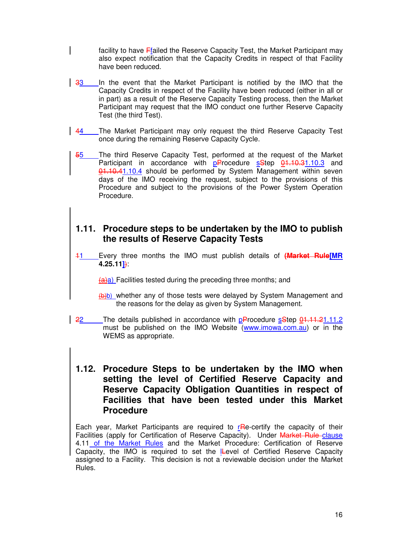facility to have Ffailed the Reserve Capacity Test, the Market Participant may also expect notification that the Capacity Credits in respect of that Facility have been reduced.

- 33 In the event that the Market Participant is notified by the IMO that the Capacity Credits in respect of the Facility have been reduced (either in all or in part) as a result of the Reserve Capacity Testing process, then the Market Participant may request that the IMO conduct one further Reserve Capacity Test (the third Test).
- 44 The Market Participant may only request the third Reserve Capacity Test once during the remaining Reserve Capacity Cycle.
- 55 The third Reserve Capacity Test, performed at the request of the Market Participant in accordance with  $p$ Procedure  $s$ Step  $\frac{0.1110.31110.3}{1.10.3110.3}$  and 01.10.41.10.4 should be performed by System Management within seven days of the IMO receiving the request, subject to the provisions of this Procedure and subject to the provisions of the Power System Operation Procedure.

## **1.11. Procedure steps to be undertaken by the IMO to publish the results of Reserve Capacity Tests**

11 Every three months the IMO must publish details of **(Market Rule[MR 4.25.11]**):

 $(a)$ a) Facilities tested during the preceding three months; and

- $(b)$  whether any of those tests were delayed by System Management and the reasons for the delay as given by System Management.
- 22 The details published in accordance with pProcedure sStep 01.11.21.11.2 must be published on the IMO Website (www.imowa.com.au) or in the WEMS as appropriate.

#### **1.12. Procedure Steps to be undertaken by the IMO when setting the level of Certified Reserve Capacity and Reserve Capacity Obligation Quantities in respect of Facilities that have been tested under this Market Procedure**

Each year, Market Participants are required to  $rR$ -certify the capacity of their Facilities (apply for Certification of Reserve Capacity). Under Market Rule-clause 4.11 of the Market Rules and the Market Procedure: Certification of Reserve Capacity, the IMO is required to set the ILevel of Certified Reserve Capacity assigned to a Facility. This decision is not a reviewable decision under the Market Rules.